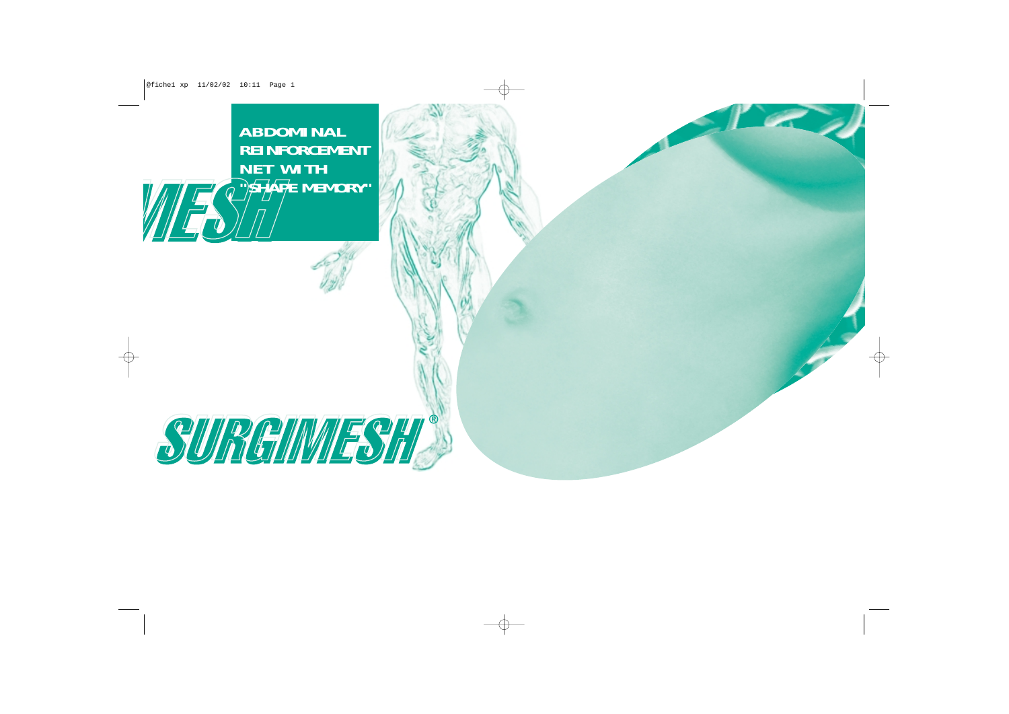**ABDOMINAL REINFORCEMENT NET WITH "SHAPE MEMORY"**

WES